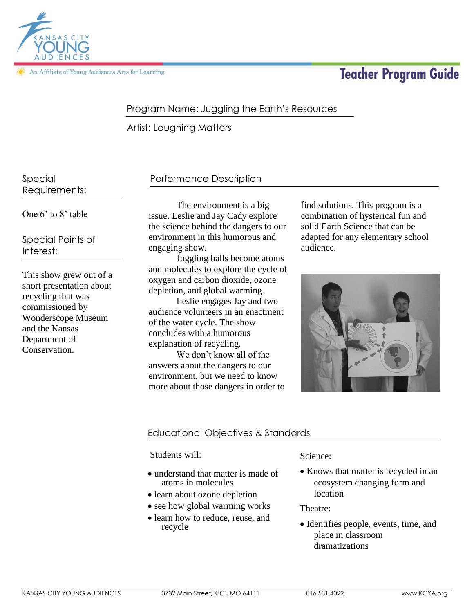

An Affiliate of Young Audiences Arts for Learning

# **Teacher Program Guide**

# Program Name: Juggling the Earth's Resources

Artist: Laughing Matters

Special Requirements:

One 6' to 8' table

Special Points of Interest:

This show grew out of a short presentation about recycling that was commissioned by Wonderscope Museum and the Kansas Department of Conservation.

## Performance Description

The environment is a big issue. Leslie and Jay Cady explore the science behind the dangers to our environment in this humorous and engaging show.

Juggling balls become atoms and molecules to explore the cycle of oxygen and carbon dioxide, ozone depletion, and global warming.

Leslie engages Jay and two audience volunteers in an enactment of the water cycle. The show concludes with a humorous explanation of recycling.

We don't know all of the answers about the dangers to our environment, but we need to know more about those dangers in order to find solutions. This program is a combination of hysterical fun and solid Earth Science that can be adapted for any elementary school audience.



## Educational Objectives & Standards

Students will:

- understand that matter is made of atoms in molecules
- learn about ozone depletion
- see how global warming works
- learn how to reduce, reuse, and recycle

#### Science:

 Knows that matter is recycled in an ecosystem changing form and location

Theatre:

• Identifies people, events, time, and place in classroom dramatizations